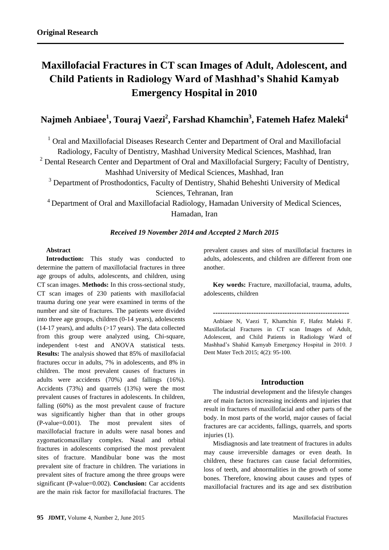# **Maxillofacial Fractures in CT scan Images of Adult, Adolescent, and Child Patients in Radiology Ward of Mashhad's Shahid Kamyab Emergency Hospital in 2010**

# **Najmeh Anbiaee<sup>1</sup> , Touraj Vaezi<sup>2</sup> , Farshad Khamchin<sup>3</sup> , Fatemeh Hafez Maleki<sup>4</sup>**

<sup>1</sup> Oral and Maxillofacial Diseases Research Center and Department of Oral and Maxillofacial Radiology, Faculty of Dentistry, Mashhad University Medical Sciences, Mashhad, Iran

 $2$  Dental Research Center and Department of Oral and Maxillofacial Surgery; Faculty of Dentistry,

Mashhad University of Medical Sciences, Mashhad, Iran

<sup>3</sup> Department of Prosthodontics, Faculty of Dentistry, Shahid Beheshti University of Medical Sciences, Tehranan, Iran

<sup>4</sup> Department of Oral and Maxillofacial Radiology, Hamadan University of Medical Sciences, Hamadan, Iran

# *Received 19 November 2014 and Accepted 2 March 2015*

#### **Abstract**

**Introduction:** This study was conducted to determine the pattern of maxillofacial fractures in three age groups of adults, adolescents, and children, using CT scan images. **Methods:** In this cross-sectional study, CT scan images of 230 patients with maxillofacial trauma during one year were examined in terms of the number and site of fractures. The patients were divided into three age groups, children (0-14 years), adolescents  $(14-17 \text{ years})$ , and adults  $(>17 \text{ years})$ . The data collected from this group were analyzed using, Chi-square, independent t-test and ANOVA statistical tests. **Results:** The analysis showed that 85% of maxillofacial fractures occur in adults, 7% in adolescents, and 8% in children. The most prevalent causes of fractures in adults were accidents (70%) and fallings (16%). Accidents (73%) and quarrels (13%) were the most prevalent causes of fractures in adolescents. In children, falling (60%) as the most prevalent cause of fracture was significantly higher than that in other groups (P-value=0.001). The most prevalent sites of maxillofacial fracture in adults were nasal bones and zygomaticomaxillary complex. Nasal and orbital fractures in adolescents comprised the most prevalent sites of fracture. Mandibular bone was the most prevalent site of fracture in children. The variations in prevalent sites of fracture among the three groups were significant (P-value=0.002). **Conclusion:** Car accidents are the main risk factor for maxillofacial fractures. The prevalent causes and sites of maxillofacial fractures in adults, adolescents, and children are different from one another.

**Key words:** Fracture, maxillofacial, trauma, adults, adolescents, children

**---------------------------------------------------------**

Anbiaee N, Vaezi T, Khamchin F, Hafez Maleki F. Maxillofacial Fractures in CT scan Images of Adult, Adolescent, and Child Patients in Radiology Ward of Mashhad's Shahid Kamyab Emergency Hospital in 2010. J Dent Mater Tech 2015; 4(2): 95-100.

# **Introduction**

The industrial development and the lifestyle changes are of main factors increasing incidents and injuries that result in fractures of maxillofacial and other parts of the body. In most parts of the world, major causes of facial fractures are car accidents, fallings, quarrels, and sports injuries (1).

Misdiagnosis and late treatment of fractures in adults may cause irreversible damages or even death. In children, these fractures can cause facial deformities, loss of teeth, and abnormalities in the growth of some bones. Therefore, knowing about causes and types of maxillofacial fractures and its age and sex distribution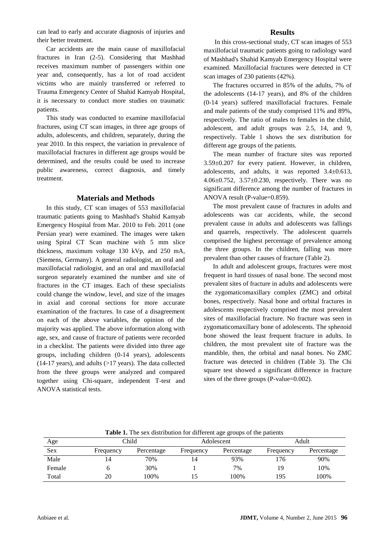can lead to early and accurate diagnosis of injuries and their better treatment.

Car accidents are the main cause of maxillofacial fractures in Iran (2-5). Considering that Mashhad receives maximum number of passengers within one year and, consequently, has a lot of road accident victims who are mainly transferred or referred to Trauma Emergency Center of Shahid Kamyab Hospital, it is necessary to conduct more studies on traumatic patients.

This study was conducted to examine maxillofacial fractures, using CT scan images, in three age groups of adults, adolescents, and children, separately, during the year 2010. In this respect, the variation in prevalence of maxillofacial fractures in different age groups would be determined, and the results could be used to increase public awareness, correct diagnosis, and timely treatment.

#### **Materials and Methods**

In this study, CT scan images of 553 maxillofacial traumatic patients going to Mashhad's Shahid Kamyab Emergency Hospital from Mar. 2010 to Feb. 2011 (one Persian year) were examined. The images were taken using Spiral CT Scan machine with 5 mm slice thickness, maximum voltage 130 kVp, and 250 mA, (Siemens, Germany). A general radiologist, an oral and maxillofacial radiologist, and an oral and maxillofacial surgeon separately examined the number and site of fractures in the CT images. Each of these specialists could change the window, level, and size of the images in axial and coronal sections for more accurate examination of the fractures. In case of a disagreement on each of the above variables, the opinion of the majority was applied. The above information along with age, sex, and cause of fracture of patients were recorded in a checklist. The patients were divided into three age groups, including children (0-14 years), adolescents (14-17 years), and adults (>17 years). The data collected from the three groups were analyzed and compared together using Chi-square, independent T-test and ANOVA statistical tests.

#### **Results**

In this cross-sectional study, CT scan images of 553 maxillofacial traumatic patients going to radiology ward of Mashhad's Shahid Kamyab Emergency Hospital were examined. Maxillofacial fractures were detected in CT scan images of 230 patients (42%).

The fractures occurred in 85% of the adults, 7% of the adolescents (14-17 years), and 8% of the children (0-14 years) suffered maxillofacial fractures. Female and male patients of the study comprised 11% and 89%, respectively. The ratio of males to females in the child, adolescent, and adult groups was 2.5, 14, and 9, respectively. Table 1 shows the sex distribution for different age groups of the patients.

The mean number of fracture sites was reported 3.59±0.207 for every patient. However, in children, adolescents, and adults, it was reported 3.4±0.613, 4.06±0.752, 3.57±0.230, respectively. There was no significant difference among the number of fractures in ANOVA result (P-value=0.859).

The most prevalent cause of fractures in adults and adolescents was car accidents, while, the second prevalent cause in adults and adolescents was fallings and quarrels, respectively. The adolescent quarrels comprised the highest percentage of prevalence among the three groups. In the children, falling was more prevalent than other causes of fracture (Table 2).

In adult and adolescent groups, fractures were most frequent in hard tissues of nasal bone. The second most prevalent sites of fracture in adults and adolescents were the zygomaticomaxillary complex (ZMC) and orbital bones, respectively. Nasal bone and orbital fractures in adolescents respectively comprised the most prevalent sites of maxillofacial fracture. No fracture was seen in zygomaticomaxillary bone of adolescents. The sphenoid bone showed the least frequent fracture in adults. In children, the most prevalent site of fracture was the mandible, then, the orbital and nasal bones. No ZMC fracture was detected in children (Table 3). The Chi square test showed a significant difference in fracture sites of the three groups (P-value=0.002).

|        | ັ         |            |           |            |           |            |  |  |
|--------|-----------|------------|-----------|------------|-----------|------------|--|--|
| Age    | Child     |            |           | Adolescent | Adult     |            |  |  |
| Sex    | Frequency | Percentage | Frequency | Percentage | Frequency | Percentage |  |  |
| Male   | 14        | 70%        | 14        | 93%        | 176       | 90%        |  |  |
| Female |           | 30%        |           | 7%         | 1 Q       | 10%        |  |  |
| Total  | 20        | 100%       |           | 100%       | 195       | 100%       |  |  |

**Table 1.** The sex distribution for different age groups of the patients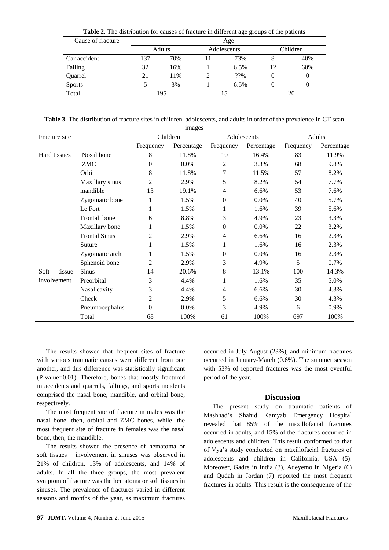| Cause of fracture | Age    |     |             |      |          |     |  |
|-------------------|--------|-----|-------------|------|----------|-----|--|
|                   | Adults |     | Adolescents |      | Children |     |  |
| Car accident      | 137    | 70% | 11          | 73%  | 8        | 40% |  |
| Falling           | 32     | 16% |             | 6.5% | 12       | 60% |  |
| Quarrel           | 21     | 11% |             | ??%  | 0        | 0   |  |
| <b>Sports</b>     |        | 3%  |             | 6.5% |          | 0   |  |
| Total             | 195    |     | 15          |      | 20       |     |  |

**Table 2.** The distribution for causes of fracture in different age groups of the patients

**Table 3.** The distribution of fracture sites in children, adolescents, and adults in order of the prevalence in CT scan images

| Fracture site  |                      | $\frac{1}{2}$<br>Children |            | Adolescents      |            | <b>Adults</b> |            |
|----------------|----------------------|---------------------------|------------|------------------|------------|---------------|------------|
|                |                      | Frequency                 | Percentage | Frequency        | Percentage | Frequency     | Percentage |
| Hard tissues   | Nosal bone           | 8                         | 11.8%      | 10               | 16.4%      | 83            | 11.9%      |
|                | ZMC                  | $\theta$                  | 0.0%       | 2                | 3.3%       | 68            | 9.8%       |
|                | Orbit                | 8                         | 11.8%      | 7                | 11.5%      | 57            | 8.2%       |
|                | Maxillary sinus      | 2                         | 2.9%       | 5                | 8.2%       | 54            | 7.7%       |
|                | mandible             | 13                        | 19.1%      | 4                | 6.6%       | 53            | 7.6%       |
|                | Zygomatic bone       |                           | 1.5%       | $\boldsymbol{0}$ | 0.0%       | 40            | 5.7%       |
|                | Le Fort              |                           | 1.5%       | 1                | 1.6%       | 39            | 5.6%       |
|                | Frontal bone         | 6                         | 8.8%       | 3                | 4.9%       | 23            | 3.3%       |
|                | Maxillary bone       | 1                         | 1.5%       | $\boldsymbol{0}$ | 0.0%       | 22            | 3.2%       |
|                | <b>Frontal Sinus</b> | 2                         | 2.9%       | 4                | 6.6%       | 16            | 2.3%       |
|                | Suture               | 1                         | 1.5%       | 1                | 1.6%       | 16            | 2.3%       |
|                | Zygomatic arch       | 1                         | 1.5%       | $\boldsymbol{0}$ | 0.0%       | 16            | 2.3%       |
|                | Sphenoid bone        | 2                         | 2.9%       | 3                | 4.9%       | 5             | 0.7%       |
| Soft<br>tissue | Sinus                | 14                        | 20.6%      | 8                | 13.1%      | 100           | 14.3%      |
| involvement    | Preorbital           | 3                         | 4.4%       | 1                | 1.6%       | 35            | 5.0%       |
|                | Nasal cavity         | 3                         | 4.4%       | 4                | 6.6%       | 30            | 4.3%       |
|                | Cheek                | 2                         | 2.9%       | 5                | 6.6%       | 30            | 4.3%       |
|                | Pneumocephalus       | $\Omega$                  | 0.0%       | 3                | 4.9%       | 6             | 0.9%       |
|                | Total                | 68                        | 100%       | 61               | 100%       | 697           | 100%       |

The results showed that frequent sites of fracture with various traumatic causes were different from one another, and this difference was statistically significant (P-value=0.01). Therefore, bones that mostly fractured in accidents and quarrels, fallings, and sports incidents comprised the nasal bone, mandible, and orbital bone, respectively.

The most frequent site of fracture in males was the nasal bone, then, orbital and ZMC bones, while, the most frequent site of fracture in females was the nasal bone, then, the mandible.

The results showed the presence of hematoma or soft tissues involvement in sinuses was observed in 21% of children, 13% of adolescents, and 14% of adults. In all the three groups, the most prevalent symptom of fracture was the hematoma or soft tissues in sinuses. The prevalence of fractures varied in different seasons and months of the year, as maximum fractures

occurred in July-August (23%), and minimum fractures occurred in January-March (0.6%). The summer season with 53% of reported fractures was the most eventful period of the year.

#### **Discussion**

The present study on traumatic patients of Mashhad's Shahid Kamyab Emergency Hospital revealed that 85% of the maxillofacial fractures occurred in adults, and 15% of the fractures occurred in adolescents and children. This result conformed to that of Vya's study conducted on maxillofacial fractures of adolescents and children in California, USA (5). Moreover, Gadre in India (3), Adeyemo in Nigeria (6) and Qudah in Jordan (7) reported the most frequent fractures in adults. This result is the consequence of the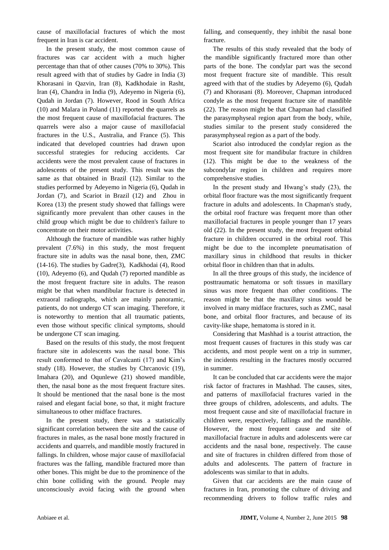cause of maxillofacial fractures of which the most frequent in Iran is car accident.

In the present study, the most common cause of fractures was car accident with a much higher percentage than that of other causes (70% to 30%). This result agreed with that of studies by Gadre in India (3) Khorasani in Qazvin, Iran (8), Kadkhodaie in Rasht, Iran (4), Chandra in India (9), Adeyemo in Nigeria (6), Qudah in Jordan (7). However, Rood in South Africa (10) and Malara in Poland (11) reported the quarrels as the most frequent cause of maxillofacial fractures. The quarrels were also a major cause of maxillofacial fractures in the U.S., Australia, and France (5). This indicated that developed countries had drawn upon successful strategies for reducing accidents. Car accidents were the most prevalent cause of fractures in adolescents of the present study. This result was the same as that obtained in Brazil (12). Similar to the studies performed by Adeyemo in Nigeria (6), Qudah in Jordan (7), and Scariot in Brazil (12) and Zhou in Korea (13) the present study showed that fallings were significantly more prevalent than other causes in the child group which might be due to children's failure to concentrate on their motor activities.

Although the fracture of mandible was rather highly prevalent (7.6%) in this study, the most frequent fracture site in adults was the nasal bone, then, ZMC (14-16). The studies by Gadre(3), Kadkhodai (4), Rood (10), Adeyemo (6), and Qudah (7) reported mandible as the most frequent fracture site in adults. The reason might be that when mandibular fracture is detected in extraoral radiographs, which are mainly panoramic, patients, do not undergo CT scan imaging. Therefore, it is noteworthy to mention that all traumatic patients, even those without specific clinical symptoms, should be undergone CT scan imaging.

Based on the results of this study, the most frequent fracture site in adolescents was the nasal bone. This result conformed to that of Cavalcanti (17) and Kim's study (18). However, the studies by Chrcanovic (19), Imahara (20), and Oqunlewe (21) showed mandible, then, the nasal bone as the most frequent fracture sites. It should be mentioned that the nasal bone is the most raised and elegant facial bone, so that, it might fracture simultaneous to other midface fractures.

In the present study, there was a statistically significant correlation between the site and the cause of fractures in males, as the nasal bone mostly fractured in accidents and quarrels, and mandible mostly fractured in fallings. In children, whose major cause of maxillofacial fractures was the falling, mandible fractured more than other bones. This might be due to the prominence of the chin bone colliding with the ground. People may unconsciously avoid facing with the ground when

falling, and consequently, they inhibit the nasal bone fracture.

The results of this study revealed that the body of the mandible significantly fractured more than other parts of the bone. The condylar part was the second most frequent fracture site of mandible. This result agreed with that of the studies by Adeyemo (6), Qudah (7) and Khorasani (8). Moreover, Chapman introduced condyle as the most frequent fracture site of mandible (22). The reason might be that Chapman had classified the parasymphyseal region apart from the body, while, studies similar to the present study considered the parasymphyseal region as a part of the body.

Scariot also introduced the condylar region as the most frequent site for mandibular fracture in children (12). This might be due to the weakness of the subcondylar region in children and requires more comprehensive studies.

In the present study and Hwang's study (23), the orbital floor fracture was the most significantly frequent fracture in adults and adolescents. In Chapman's study, the orbital roof fracture was frequent more than other maxillofacial fractures in people younger than 17 years old (22). In the present study, the most frequent orbital fracture in children occurred in the orbital roof. This might be due to the incomplete pneumatisation of maxillary sinus in childhood that results in thicker orbital floor in children than that in adults.

In all the three groups of this study, the incidence of posttraumatic hematoma or soft tissues in maxillary sinus was more frequent than other conditions. The reason might be that the maxillary sinus would be involved in many midface fractures, such as ZMC, nasal bone, and orbital floor fractures, and because of its cavity-like shape, hematoma is stored in it.

Considering that Mashhad is a tourist attraction, the most frequent causes of fractures in this study was car accidents, and most people went on a trip in summer, the incidents resulting in the fractures mostly occurred in summer.

It can be concluded that car accidents were the major risk factor of fractures in Mashhad. The causes, sites, and patterns of maxillofacial fractures varied in the three groups of children, adolescents, and adults. The most frequent cause and site of maxillofacial fracture in children were, respectively, fallings and the mandible. However, the most frequent cause and site of maxillofacial fracture in adults and adolescents were car accidents and the nasal bone, respectively. The cause and site of fractures in children differed from those of adults and adolescents. The pattern of fracture in adolescents was similar to that in adults.

Given that car accidents are the main cause of fractures in Iran, promoting the culture of driving and recommending drivers to follow traffic rules and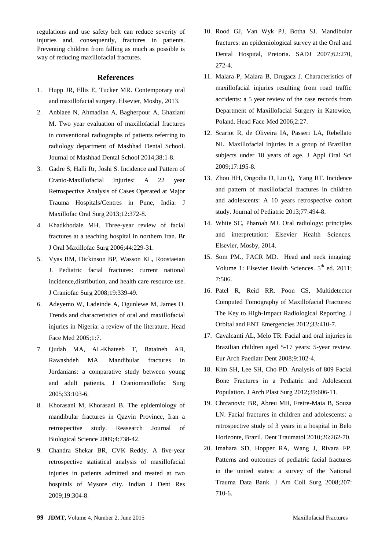regulations and use safety belt can reduce severity of injuries and, consequently, fractures in patients. Preventing children from falling as much as possible is way of reducing maxillofacial fractures.

#### **References**

- 1. Hupp JR, Ellis E, Tucker MR. Contemporary oral and maxillofacial surgery. Elsevier, Mosby, 2013.
- 2. Anbiaee N, Ahmadian A, Bagherpour A, Ghaziani M. Two year evaluation of maxillofacial fractures in conventional radiographs of patients referring to radiology department of Mashhad Dental School. Journal of Mashhad Dental School 2014;38:1-8.
- 3. Gadre S, Halli Rr, Joshi S. Incidence and Pattern of Cranio-Maxillofacial Injuries: A 22 year Retrospective Analysis of Cases Operated at Major Trauma Hospitals/Centres in Pune, India. J Maxillofac Oral Surg 2013;12:372-8.
- 4. Khadkhodaie MH. Three-year review of facial fractures at a teaching hospital in northern Iran. Br J Oral Maxillofac Surg 2006;44:229-31.
- 5. Vyas RM, Dickinson BP, Wasson KL, Roostaeian J. Pediatric facial fractures: current national incidence,distribution, and health care resource use. J Craniofac Surg 2008;19:339-49.
- 6. Adeyemo W, Ladeinde A, Ogunlewe M, James O. Trends and characteristics of oral and maxillofacial injuries in Nigeria: a review of the literature. Head Face Med 2005;1:7.
- 7. Qudah MA, AL-Khateeb T, Bataineh AB, Rawashdeh MA. Mandibular fractures in Jordanians: a comparative study between young and adult patients. J Craniomaxillofac Surg 2005;33:103-6.
- 8. Khorasani M, Khorasani B. The epidemiology of mandibular fractures in Qazvin Province, Iran a retrospective study. Reasearch Journal of Biological Science 2009;4:738-42.
- 9. Chandra Shekar BR, CVK Reddy. A five-year retrospective statistical analysis of maxillofacial injuries in patients admitted and treated at two hospitals of Mysore city. Indian J Dent Res 2009;19:304-8.
- 10. Rood GJ, Van Wyk PJ, Botha SJ. Mandibular fractures: an epidemiological survey at the Oral and Dental Hospital, Pretoria. SADJ 2007;62:270, 272-4.
- 11. Malara P, Malara B, Drugacz J. Characteristics of maxillofacial injuries resulting from road traffic accidents: a 5 year review of the case records from Department of Maxillofacial Surgery in Katowice, Poland. Head Face Med 2006;2:27.
- 12. Scariot R, de Oliveira IA, Passeri LA, Rebellato NL. Maxillofacial injuries in a group of Brazilian subjects under 18 years of age. J Appl Oral Sci 2009;17:195-8.
- 13. Zhou HH, Ongodia D, Liu Q, [Yang](http://scholar.google.com/citations?user=p4cj19UAAAAJ&hl=en&oi=sra) RT. [Incidence](http://www.sciencedirect.com/science/article/pii/S0165587612007197)  [and pattern of maxillofacial fractures in children](http://www.sciencedirect.com/science/article/pii/S0165587612007197)  [and adolescents: A 10 years retrospective cohort](http://www.sciencedirect.com/science/article/pii/S0165587612007197)  [study.](http://www.sciencedirect.com/science/article/pii/S0165587612007197) Journal of Pediatric 2013[;77:](http://www.sciencedirect.com/science/journal/01655876/77/4)494-8.
- 14. White SC, Pharoah MJ. Oral radiology: principles and interpretation: Elsevier Health Sciences. Elsevier, Mosby, 2014.
- 15. Som PM., FACR MD. Head and neck imaging: Volume 1: Elsevier Health Sciences.  $5<sup>th</sup>$  ed. 2011; 7:506.
- 16. Patel R, Reid RR. [Poon](http://www.sciencedirect.com/science/article/pii/S0887217112000704) CS, Multidetector Computed Tomography of Maxillofacial Fractures: The Key to High-Impact Radiological Reporting. J Orbital and ENT Emergencies 2012;33:410-7.
- 17. Cavalcanti AL, Melo TR. Facial and oral injuries in Brazilian children aged 5-17 years: 5-year review. Eur Arch Paediatr Dent 2008;9:102-4.
- 18. Kim SH, Lee SH, Cho PD. Analysis of 809 Facial Bone Fractures in a Pediatric and Adolescent Population. J Arch Plast Surg 2012;39:606-11.
- 19. Chrcanovic BR, Abreu MH, Freire-Maia B, Souza LN. Facial fractures in children and adolescents: a retrospective study of 3 years in a hospital in Belo Horizonte, Brazil. Dent Traumatol 2010;26:262-70.
- 20. Imahara SD, Hopper RA, Wang J, Rivara FP. Patterns and outcomes of pediatric facial fractures in the united states: a survey of the National Trauma Data Bank. J Am Coll Surg 2008;207: 710-6.